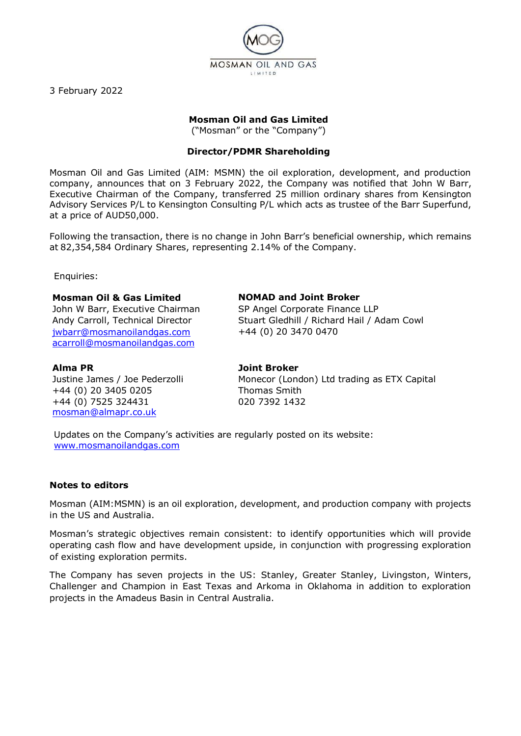

3 February 2022

# **Mosman Oil and Gas Limited**

("Mosman" or the "Company")

## **Director/PDMR Shareholding**

Mosman Oil and Gas Limited (AIM: MSMN) the oil exploration, development, and production company, announces that on 3 February 2022, the Company was notified that John W Barr, Executive Chairman of the Company, transferred 25 million ordinary shares from Kensington Advisory Services P/L to Kensington Consulting P/L which acts as trustee of the Barr Superfund, at a price of AUD50,000.

Following the transaction, there is no change in John Barr's beneficial ownership, which remains at 82,354,584 Ordinary Shares, representing 2.14% of the Company.

Enquiries:

#### **Mosman Oil & Gas Limited**

John W Barr, Executive Chairman Andy Carroll, Technical Director [jwbarr@mosmanoilandgas.com](mailto:jwbarr@mosmanoilandgas.com) [acarroll@mosmanoilandgas.com](mailto:acarroll@mosmanoilandgas.com)

#### **NOMAD and Joint Broker**

SP Angel Corporate Finance LLP Stuart Gledhill / Richard Hail / Adam Cowl +44 (0) 20 3470 0470

### **Alma PR**

Justine James / Joe Pederzolli +44 (0) 20 3405 0205 +44 (0) 7525 324431 [mosman@almapr.co.uk](mailto:mosman@almapr.co.uk)

**Joint Broker** Monecor (London) Ltd trading as ETX Capital Thomas Smith 020 7392 1432

Updates on the Company's activities are regularly posted on its website: [www.mosmanoilandgas.com](http://www.mosmanoilandgas.com/)

#### **Notes to editors**

Mosman (AIM:MSMN) is an oil exploration, development, and production company with projects in the US and Australia.

Mosman's strategic objectives remain consistent: to identify opportunities which will provide operating cash flow and have development upside, in conjunction with progressing exploration of existing exploration permits.

The Company has seven projects in the US: Stanley, Greater Stanley, Livingston, Winters, Challenger and Champion in East Texas and Arkoma in Oklahoma in addition to exploration projects in the Amadeus Basin in Central Australia.